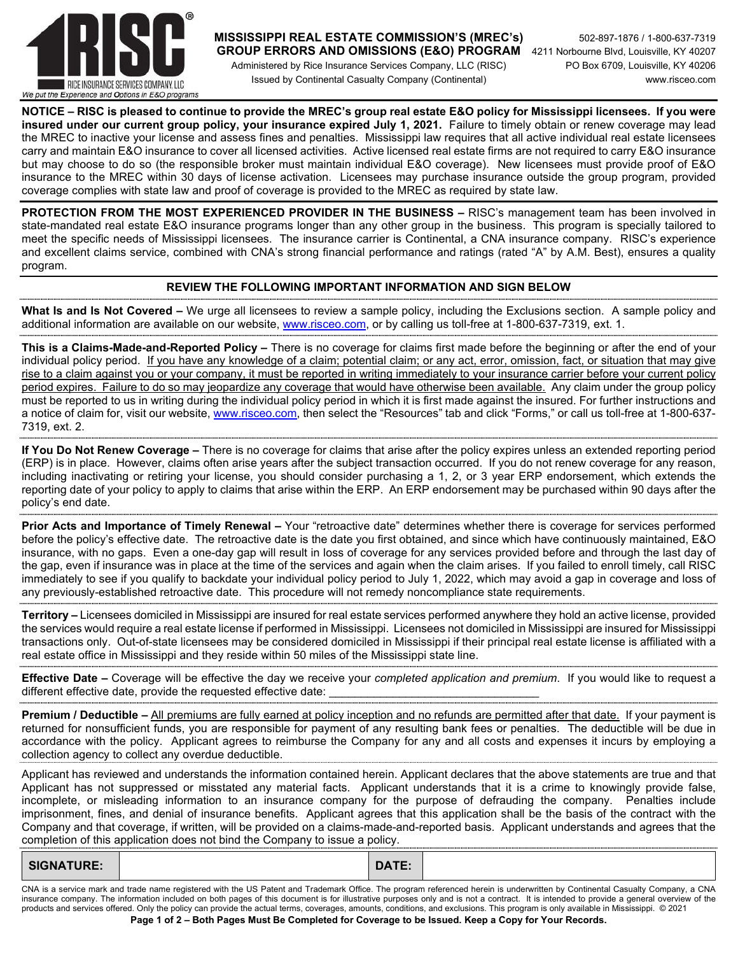

## **MISSISSIPPI REAL ESTATE COMMISSION'S (MREC's)** 502-897-1876 / 1-800-637-7319

 Administered by Rice Insurance Services Company, LLC (RISC) PO Box 6709, Louisville, KY 40206 Issued by Continental Casualty Company (Continental) www.risceo.com

 **GROUP ERRORS AND OMISSIONS (E&O) PROGRAM** 4211 Norbourne Blvd, Louisville, KY 40207

**NOTICE – RISC is pleased to continue to provide the MREC's group real estate E&O policy for Mississippi licensees. If you were insured under our current group policy, your insurance expired July 1, 2021.** Failure to timely obtain or renew coverage may lead the MREC to inactive your license and assess fines and penalties. Mississippi law requires that all active individual real estate licensees carry and maintain E&O insurance to cover all licensed activities. Active licensed real estate firms are not required to carry E&O insurance but may choose to do so (the responsible broker must maintain individual E&O coverage). New licensees must provide proof of E&O insurance to the MREC within 30 days of license activation. Licensees may purchase insurance outside the group program, provided coverage complies with state law and proof of coverage is provided to the MREC as required by state law.

**PROTECTION FROM THE MOST EXPERIENCED PROVIDER IN THE BUSINESS –** RISC's management team has been involved in state-mandated real estate E&O insurance programs longer than any other group in the business. This program is specially tailored to meet the specific needs of Mississippi licensees. The insurance carrier is Continental, a CNA insurance company. RISC's experience and excellent claims service, combined with CNA's strong financial performance and ratings (rated "A" by A.M. Best), ensures a quality program.

## **REVIEW THE FOLLOWING IMPORTANT INFORMATION AND SIGN BELOW**

**What Is and Is Not Covered –** We urge all licensees to review a sample policy, including the Exclusions section. A sample policy and additional information are available on our website, www.risceo.com, or by calling us toll-free at 1-800-637-7319, ext. 1.

**This is a Claims-Made-and-Reported Policy –** There is no coverage for claims first made before the beginning or after the end of your individual policy period. If you have any knowledge of a claim; potential claim; or any act, error, omission, fact, or situation that may give rise to a claim against you or your company, it must be reported in writing immediately to your insurance carrier before your current policy period expires. Failure to do so may jeopardize any coverage that would have otherwise been available. Any claim under the group policy must be reported to us in writing during the individual policy period in which it is first made against the insured. For further instructions and a notice of claim for, visit our website, www.risceo.com, then select the "Resources" tab and click "Forms," or call us toll-free at 1-800-637- 7319, ext. 2.

**If You Do Not Renew Coverage –** There is no coverage for claims that arise after the policy expires unless an extended reporting period (ERP) is in place. However, claims often arise years after the subject transaction occurred. If you do not renew coverage for any reason, including inactivating or retiring your license, you should consider purchasing a 1, 2, or 3 year ERP endorsement, which extends the reporting date of your policy to apply to claims that arise within the ERP. An ERP endorsement may be purchased within 90 days after the policy's end date.

**Prior Acts and Importance of Timely Renewal –** Your "retroactive date" determines whether there is coverage for services performed before the policy's effective date. The retroactive date is the date you first obtained, and since which have continuously maintained, E&O insurance, with no gaps. Even a one-day gap will result in loss of coverage for any services provided before and through the last day of the gap, even if insurance was in place at the time of the services and again when the claim arises. If you failed to enroll timely, call RISC immediately to see if you qualify to backdate your individual policy period to July 1, 2022, which may avoid a gap in coverage and loss of any previously-established retroactive date. This procedure will not remedy noncompliance state requirements.

**Territory –** Licensees domiciled in Mississippi are insured for real estate services performed anywhere they hold an active license, provided the services would require a real estate license if performed in Mississippi. Licensees not domiciled in Mississippi are insured for Mississippi transactions only. Out-of-state licensees may be considered domiciled in Mississippi if their principal real estate license is affiliated with a real estate office in Mississippi and they reside within 50 miles of the Mississippi state line.

**Effective Date –** Coverage will be effective the day we receive your *completed application and premium*. If you would like to request a different effective date, provide the requested effective date:

**Premium / Deductible – All premiums are fully earned at policy inception and no refunds are permitted after that date. If your payment is** returned for nonsufficient funds, you are responsible for payment of any resulting bank fees or penalties. The deductible will be due in accordance with the policy. Applicant agrees to reimburse the Company for any and all costs and expenses it incurs by employing a collection agency to collect any overdue deductible.

Applicant has reviewed and understands the information contained herein. Applicant declares that the above statements are true and that Applicant has not suppressed or misstated any material facts. Applicant understands that it is a crime to knowingly provide false, incomplete, or misleading information to an insurance company for the purpose of defrauding the company. Penalties include imprisonment, fines, and denial of insurance benefits. Applicant agrees that this application shall be the basis of the contract with the Company and that coverage, if written, will be provided on a claims-made-and-reported basis. Applicant understands and agrees that the completion of this application does not bind the Company to issue a policy.

| .<br><b>DATE</b><br>S1<br>M 7.<br>UAIC.<br><b>UIVITIUIL.</b> |
|--------------------------------------------------------------|
|--------------------------------------------------------------|

**Page 1 of 2 – Both Pages Must Be Completed for Coverage to be Issued. Keep a Copy for Your Records.**  CNA is a service mark and trade name registered with the US Patent and Trademark Office. The program referenced herein is underwritten by Continental Casualty Company, a CNA insurance company. The information included on both pages of this document is for illustrative purposes only and is not a contract. It is intended to provide a general overview of the products and services offered. Only the policy can provide the actual terms, coverages, amounts, conditions, and exclusions. This program is only available in Mississippi. © 2021